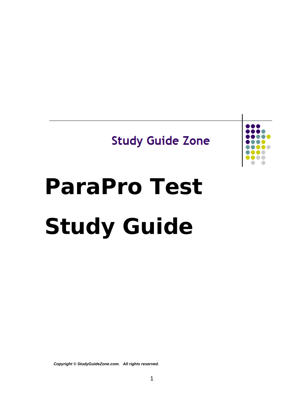# **Study Guide Zone**



# **ParaPro Test Study Guide**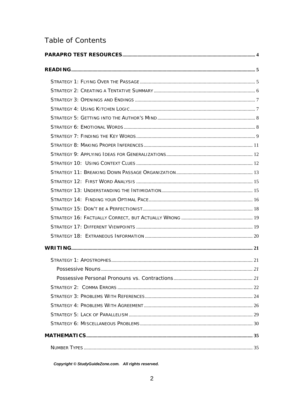# Table of Contents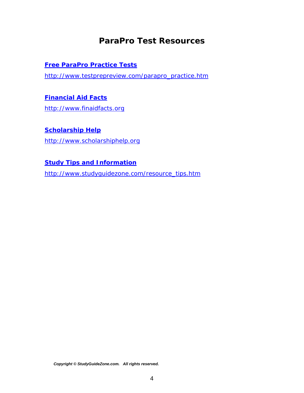# *ParaPro Test Resources*

#### <span id="page-3-0"></span>**[Free ParaPro Practice Tests](http://www.testprepreview.com/parapro_practice.htm)**

[http://www.testprepreview.com/parapro\\_practice.htm](http://www.testprepreview.com/parapro_practice.htm)

#### **[Financial Aid Facts](http://www.finaidfacts.org/)**

[http://www.finaidfacts.org](http://www.finaidfacts.org/)

#### **[Scholarship Help](http://www.scholarshiphelp.org/)**

[http://www.scholarshiphelp.org](http://www.scholarshiphelp.org/)

#### **[Study Tips and Information](http://www.studyguidezone.com/resource_tips.htm)**

[http://www.studyguidezone.com/resource\\_tips.htm](http://www.studyguidezone.com/resource_tips.htm)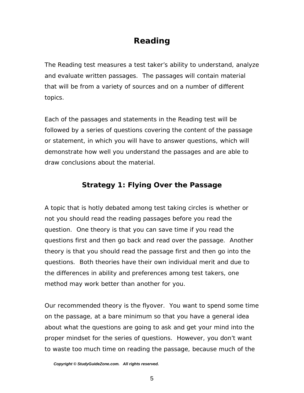# *Reading*

<span id="page-4-0"></span>The Reading test measures a test taker's ability to understand, analyze and evaluate written passages. The passages will contain material that will be from a variety of sources and on a number of different topics.

Each of the passages and statements in the Reading test will be followed by a series of questions covering the content of the passage or statement, in which you will have to answer questions, which will demonstrate how well you understand the passages and are able to draw conclusions about the material.

# **Strategy 1: Flying Over the Passage**

A topic that is hotly debated among test taking circles is whether or not you should read the reading passages before you read the question. One theory is that you can save time if you read the questions first and then go back and read over the passage. Another theory is that you should read the passage first and then go into the questions. Both theories have their own individual merit and due to the differences in ability and preferences among test takers, one method may work better than another for you.

Our recommended theory is the flyover. You want to spend some time on the passage, at a bare minimum so that you have a general idea about what the questions are going to ask and get your mind into the proper mindset for the series of questions. However, you don't want to waste too much time on reading the passage, because much of the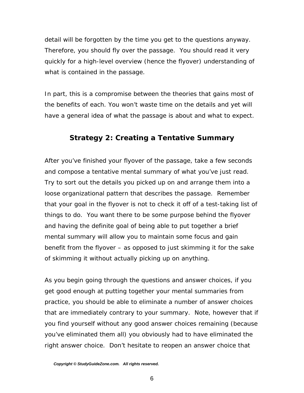<span id="page-5-0"></span>detail will be forgotten by the time you get to the questions anyway. Therefore, you should fly over the passage. You should read it very quickly for a high-level overview (hence the flyover) understanding of what is contained in the passage.

In part, this is a compromise between the theories that gains most of the benefits of each. You won't waste time on the details and yet will have a general idea of what the passage is about and what to expect.

#### **Strategy 2: Creating a Tentative Summary**

After you've finished your flyover of the passage, take a few seconds and compose a tentative mental summary of what you've just read. Try to sort out the details you picked up on and arrange them into a loose organizational pattern that describes the passage. Remember that your goal in the flyover is not to check it off of a test-taking list of things to do. You want there to be some purpose behind the flyover and having the definite goal of being able to put together a brief mental summary will allow you to maintain some focus and gain benefit from the flyover – as opposed to just skimming it for the sake of skimming it without actually picking up on anything.

As you begin going through the questions and answer choices, if you get good enough at putting together your mental summaries from practice, you should be able to eliminate a number of answer choices that are immediately contrary to your summary. Note, however that if you find yourself without any good answer choices remaining (because you've eliminated them all) you obviously had to have eliminated the right answer choice. Don't hesitate to reopen an answer choice that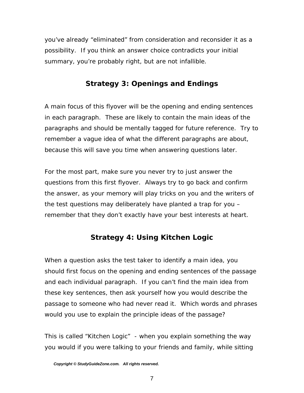<span id="page-6-0"></span>you've already "eliminated" from consideration and reconsider it as a possibility. If you think an answer choice contradicts your initial summary, you're probably right, but are not infallible.

# **Strategy 3: Openings and Endings**

A main focus of this flyover will be the opening and ending sentences in each paragraph. These are likely to contain the main ideas of the paragraphs and should be mentally tagged for future reference. Try to remember a vague idea of what the different paragraphs are about, because this will save you time when answering questions later.

For the most part, make sure you never try to just answer the questions from this first flyover. Always try to go back and confirm the answer, as your memory will play tricks on you and the writers of the test questions may deliberately have planted a trap for you – remember that they don't exactly have your best interests at heart.

# **Strategy 4: Using Kitchen Logic**

When a question asks the test taker to identify a main idea, you should first focus on the opening and ending sentences of the passage and each individual paragraph. If you can't find the main idea from these key sentences, then ask yourself how you would describe the passage to someone who had never read it. Which words and phrases would you use to explain the principle ideas of the passage?

This is called "Kitchen Logic" - when you explain something the way you would if you were talking to your friends and family, while sitting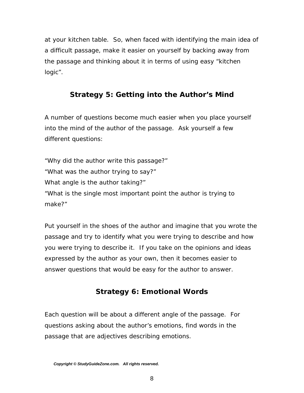<span id="page-7-0"></span>at your kitchen table. So, when faced with identifying the main idea of a difficult passage, make it easier on yourself by backing away from the passage and thinking about it in terms of using easy "kitchen logic".

# **Strategy 5: Getting into the Author's Mind**

A number of questions become much easier when you place yourself into the mind of the author of the passage. Ask yourself a few different questions:

"Why did the author write this passage?" "What was the author trying to say?" What angle is the author taking?" "What is the single most important point the author is trying to make?"

Put yourself in the shoes of the author and imagine that you wrote the passage and try to identify what you were trying to describe and how you were trying to describe it. If you take on the opinions and ideas expressed by the author as your own, then it becomes easier to answer questions that would be easy for the author to answer.

# **Strategy 6: Emotional Words**

Each question will be about a different angle of the passage. For questions asking about the author's emotions, find words in the passage that are adjectives describing emotions.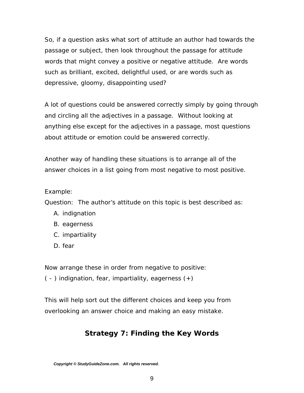<span id="page-8-0"></span>So, if a question asks what sort of attitude an author had towards the passage or subject, then look throughout the passage for attitude words that might convey a positive or negative attitude. Are words such as brilliant, excited, delightful used, or are words such as depressive, gloomy, disappointing used?

A lot of questions could be answered correctly simply by going through and circling all the adjectives in a passage. Without looking at anything else except for the adjectives in a passage, most questions about attitude or emotion could be answered correctly.

Another way of handling these situations is to arrange all of the answer choices in a list going from most negative to most positive.

#### Example:

Question: The author's attitude on this topic is best described as:

- A. indignation
- B. eagerness
- C. impartiality
- D. fear

Now arrange these in order from negative to positive:

( - ) indignation, fear, impartiality, eagerness (+)

This will help sort out the different choices and keep you from overlooking an answer choice and making an easy mistake.

# **Strategy 7: Finding the Key Words**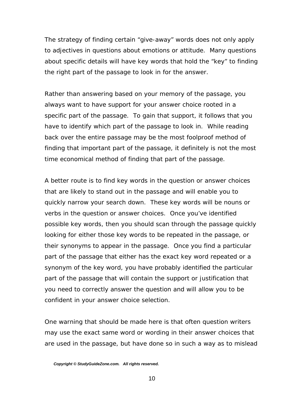The strategy of finding certain "give-away" words does not only apply to adjectives in questions about emotions or attitude. Many questions about specific details will have key words that hold the "key" to finding the right part of the passage to look in for the answer.

Rather than answering based on your memory of the passage, you always want to have support for your answer choice rooted in a specific part of the passage. To gain that support, it follows that you have to identify which part of the passage to look in. While reading back over the entire passage may be the most foolproof method of finding that important part of the passage, it definitely is not the most time economical method of finding that part of the passage.

A better route is to find key words in the question or answer choices that are likely to stand out in the passage and will enable you to quickly narrow your search down. These key words will be nouns or verbs in the question or answer choices. Once you've identified possible key words, then you should scan through the passage quickly looking for either those key words to be repeated in the passage, or their synonyms to appear in the passage. Once you find a particular part of the passage that either has the exact key word repeated or a synonym of the key word, you have probably identified the particular part of the passage that will contain the support or justification that you need to correctly answer the question and will allow you to be confident in your answer choice selection.

One warning that should be made here is that often question writers may use the exact same word or wording in their answer choices that are used in the passage, but have done so in such a way as to mislead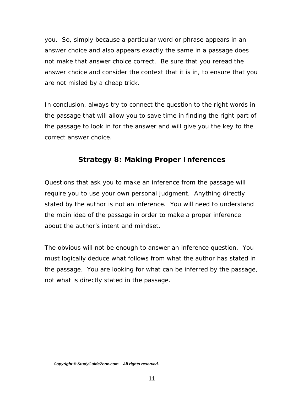<span id="page-10-0"></span>you. So, simply because a particular word or phrase appears in an answer choice and also appears exactly the same in a passage does not make that answer choice correct. Be sure that you reread the answer choice and consider the context that it is in, to ensure that you are not misled by a cheap trick.

In conclusion, always try to connect the question to the right words in the passage that will allow you to save time in finding the right part of the passage to look in for the answer and will give you the key to the correct answer choice.

#### **Strategy 8: Making Proper Inferences**

Questions that ask you to make an inference from the passage will require you to use your own personal judgment. Anything directly stated by the author is not an inference. You will need to understand the main idea of the passage in order to make a proper inference about the author's intent and mindset.

The obvious will not be enough to answer an inference question. You must logically deduce what follows from what the author has stated in the passage. You are looking for what can be inferred by the passage, not what is directly stated in the passage.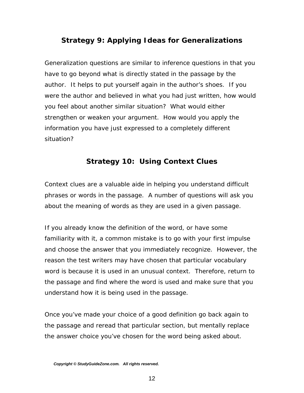# <span id="page-11-0"></span>**Strategy 9: Applying Ideas for Generalizations**

Generalization questions are similar to inference questions in that you have to go beyond what is directly stated in the passage by the author. It helps to put yourself again in the author's shoes. If you were the author and believed in what you had just written, how would you feel about another similar situation? What would either strengthen or weaken your argument. How would you apply the information you have just expressed to a completely different situation?

# **Strategy 10: Using Context Clues**

Context clues are a valuable aide in helping you understand difficult phrases or words in the passage. A number of questions will ask you about the meaning of words as they are used in a given passage.

If you already know the definition of the word, or have some familiarity with it, a common mistake is to go with your first impulse and choose the answer that you immediately recognize. However, the reason the test writers may have chosen that particular vocabulary word is because it is used in an unusual context. Therefore, return to the passage and find where the word is used and make sure that you understand how it is being used in the passage.

Once you've made your choice of a good definition go back again to the passage and reread that particular section, but mentally replace the answer choice you've chosen for the word being asked about.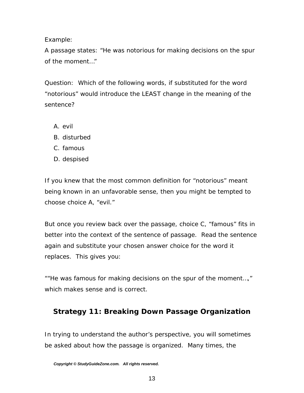<span id="page-12-0"></span>Example:

A passage states: "He was notorious for making decisions on the spur of the moment…"

Question: Which of the following words, if substituted for the word "notorious" would introduce the LEAST change in the meaning of the sentence?

- A. evil
- B. disturbed
- C. famous
- D. despised

If you knew that the most common definition for "notorious" meant being known in an unfavorable sense, then you might be tempted to choose choice A, "evil."

But once you review back over the passage, choice C, "famous" fits in better into the context of the sentence of passage. Read the sentence again and substitute your chosen answer choice for the word it replaces. This gives you:

""He was famous for making decisions on the spur of the moment…," which makes sense and is correct.

# **Strategy 11: Breaking Down Passage Organization**

In trying to understand the author's perspective, you will sometimes be asked about how the passage is organized. Many times, the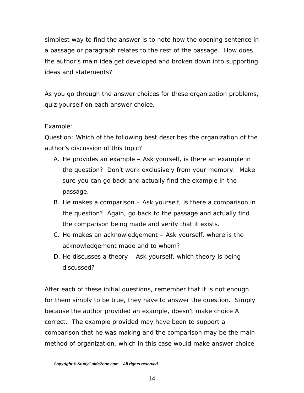simplest way to find the answer is to note how the opening sentence in a passage or paragraph relates to the rest of the passage. How does the author's main idea get developed and broken down into supporting ideas and statements?

As you go through the answer choices for these organization problems, quiz yourself on each answer choice.

#### Example:

Question: Which of the following best describes the organization of the author's discussion of this topic?

- A. He provides an example Ask yourself, is there an example in the question? Don't work exclusively from your memory. Make sure you can go back and actually find the example in the passage.
- B. He makes a comparison Ask yourself, is there a comparison in the question? Again, go back to the passage and actually find the comparison being made and verify that it exists.
- C. He makes an acknowledgement Ask yourself, where is the acknowledgement made and to whom?
- D. He discusses a theory Ask yourself, which theory is being discussed?

After each of these initial questions, remember that it is not enough for them simply to be true, they have to answer the question. Simply because the author provided an example, doesn't make choice A correct. The example provided may have been to support a comparison that he was making and the comparison may be the main method of organization, which in this case would make answer choice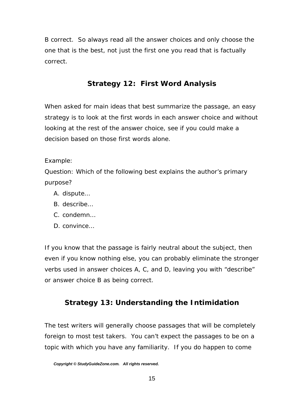<span id="page-14-0"></span>B correct. So always read all the answer choices and only choose the one that is the best, not just the first one you read that is factually correct.

# **Strategy 12: First Word Analysis**

When asked for main ideas that best summarize the passage, an easy strategy is to look at the first words in each answer choice and without looking at the rest of the answer choice, see if you could make a decision based on those first words alone.

Example:

Question: Which of the following best explains the author's primary purpose?

- A. dispute…
- B. describe…
- C. condemn…
- D. convince…

If you know that the passage is fairly neutral about the subject, then even if you know nothing else, you can probably eliminate the stronger verbs used in answer choices A, C, and D, leaving you with "describe" or answer choice B as being correct.

# **Strategy 13: Understanding the Intimidation**

The test writers will generally choose passages that will be completely foreign to most test takers. You can't expect the passages to be on a topic with which you have any familiarity. If you do happen to come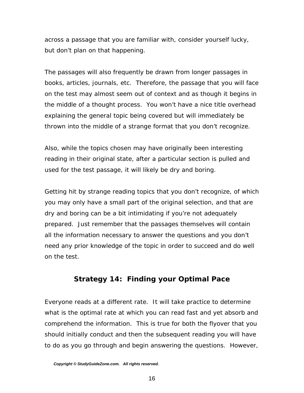<span id="page-15-0"></span>across a passage that you are familiar with, consider yourself lucky, but don't plan on that happening.

The passages will also frequently be drawn from longer passages in books, articles, journals, etc. Therefore, the passage that you will face on the test may almost seem out of context and as though it begins in the middle of a thought process. You won't have a nice title overhead explaining the general topic being covered but will immediately be thrown into the middle of a strange format that you don't recognize.

Also, while the topics chosen may have originally been interesting reading in their original state, after a particular section is pulled and used for the test passage, it will likely be dry and boring.

Getting hit by strange reading topics that you don't recognize, of which you may only have a small part of the original selection, and that are dry and boring can be a bit intimidating if you're not adequately prepared. Just remember that the passages themselves will contain all the information necessary to answer the questions and you don't need any prior knowledge of the topic in order to succeed and do well on the test.

# **Strategy 14: Finding your Optimal Pace**

Everyone reads at a different rate. It will take practice to determine what is the optimal rate at which you can read fast and yet absorb and comprehend the information. This is true for both the flyover that you should initially conduct and then the subsequent reading you will have to do as you go through and begin answering the questions. However,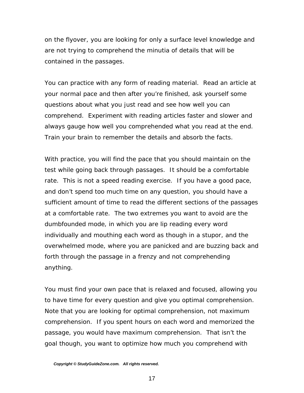on the flyover, you are looking for only a surface level knowledge and are not trying to comprehend the minutia of details that will be contained in the passages.

You can practice with any form of reading material. Read an article at your normal pace and then after you're finished, ask yourself some questions about what you just read and see how well you can comprehend. Experiment with reading articles faster and slower and always gauge how well you comprehended what you read at the end. Train your brain to remember the details and absorb the facts.

With practice, you will find the pace that you should maintain on the test while going back through passages. It should be a comfortable rate. This is not a speed reading exercise. If you have a good pace, and don't spend too much time on any question, you should have a sufficient amount of time to read the different sections of the passages at a comfortable rate. The two extremes you want to avoid are the dumbfounded mode, in which you are lip reading every word individually and mouthing each word as though in a stupor, and the overwhelmed mode, where you are panicked and are buzzing back and forth through the passage in a frenzy and not comprehending anything.

You must find your own pace that is relaxed and focused, allowing you to have time for every question and give you optimal comprehension. Note that you are looking for optimal comprehension, not maximum comprehension. If you spent hours on each word and memorized the passage, you would have maximum comprehension. That isn't the goal though, you want to optimize how much you comprehend with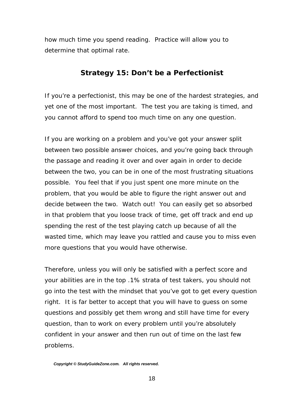<span id="page-17-0"></span>how much time you spend reading. Practice will allow you to determine that optimal rate.

#### **Strategy 15: Don't be a Perfectionist**

If you're a perfectionist, this may be one of the hardest strategies, and yet one of the most important. The test you are taking is timed, and you cannot afford to spend too much time on any one question.

If you are working on a problem and you've got your answer split between two possible answer choices, and you're going back through the passage and reading it over and over again in order to decide between the two, you can be in one of the most frustrating situations possible. You feel that if you just spent one more minute on the problem, that you would be able to figure the right answer out and decide between the two. Watch out! You can easily get so absorbed in that problem that you loose track of time, get off track and end up spending the rest of the test playing catch up because of all the wasted time, which may leave you rattled and cause you to miss even more questions that you would have otherwise.

Therefore, unless you will only be satisfied with a perfect score and your abilities are in the top .1% strata of test takers, you should not go into the test with the mindset that you've got to get every question right. It is far better to accept that you will have to guess on some questions and possibly get them wrong and still have time for every question, than to work on every problem until you're absolutely confident in your answer and then run out of time on the last few problems.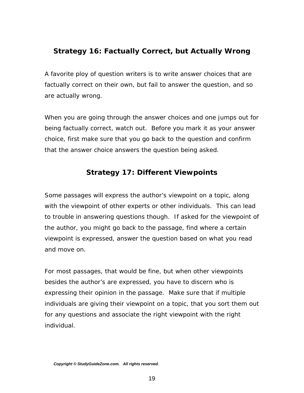### <span id="page-18-0"></span>**Strategy 16: Factually Correct, but Actually Wrong**

A favorite ploy of question writers is to write answer choices that are factually correct on their own, but fail to answer the question, and so are actually wrong.

When you are going through the answer choices and one jumps out for being factually correct, watch out. Before you mark it as your answer choice, first make sure that you go back to the question and confirm that the answer choice answers the question being asked.

# **Strategy 17: Different Viewpoints**

Some passages will express the author's viewpoint on a topic, along with the viewpoint of other experts or other individuals. This can lead to trouble in answering questions though. If asked for the viewpoint of the author, you might go back to the passage, find where a certain viewpoint is expressed, answer the question based on what you read and move on.

For most passages, that would be fine, but when other viewpoints besides the author's are expressed, you have to discern who is expressing their opinion in the passage. Make sure that if multiple individuals are giving their viewpoint on a topic, that you sort them out for any questions and associate the right viewpoint with the right individual.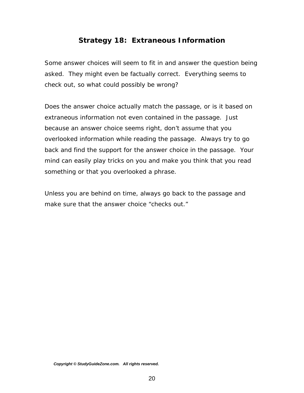#### **Strategy 18: Extraneous Information**

<span id="page-19-0"></span>Some answer choices will seem to fit in and answer the question being asked. They might even be factually correct. Everything seems to check out, so what could possibly be wrong?

Does the answer choice actually match the passage, or is it based on extraneous information not even contained in the passage. Just because an answer choice seems right, don't assume that you overlooked information while reading the passage. Always try to go back and find the support for the answer choice in the passage. Your mind can easily play tricks on you and make you think that you read something or that you overlooked a phrase.

Unless you are behind on time, always go back to the passage and make sure that the answer choice "checks out."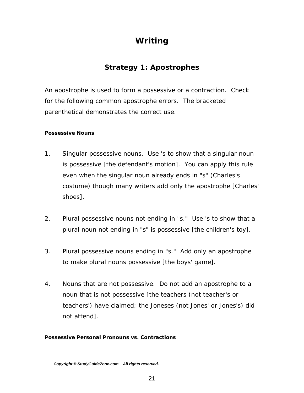# *Writing*

# **Strategy 1: Apostrophes**

<span id="page-20-0"></span>An apostrophe is used to form a possessive or a contraction. Check for the following common apostrophe errors. The bracketed parenthetical demonstrates the correct use.

#### *Possessive Nouns*

- 1. Singular possessive nouns. Use 's to show that a singular noun is possessive [the defendant's motion]. You can apply this rule even when the singular noun already ends in "s" (Charles's costume) though many writers add only the apostrophe [Charles' shoes].
- 2. Plural possessive nouns not ending in "s." Use 's to show that a plural noun not ending in "s" is possessive [the children's toy].
- 3. Plural possessive nouns ending in "s." Add only an apostrophe to make plural nouns possessive [the boys' game].
- 4. Nouns that are not possessive. Do not add an apostrophe to a noun that is not possessive [the teachers (not teacher's or teachers') have claimed; the Joneses (not Jones' or Jones's) did not attend].

#### *Possessive Personal Pronouns vs. Contractions*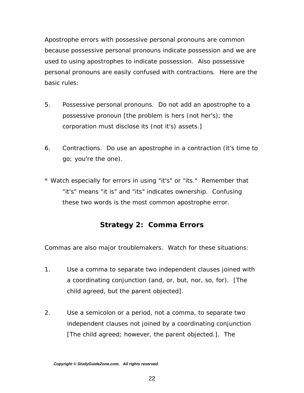<span id="page-21-0"></span>Apostrophe errors with possessive personal pronouns are common because possessive personal pronouns indicate possession and we are used to using apostrophes to indicate possession. Also possessive personal pronouns are easily confused with contractions. Here are the basic rules:

- 5. Possessive personal pronouns. Do not add an apostrophe to a possessive pronoun [the problem is hers (not her's); the corporation must disclose its (not it's) assets.]
- 6. Contractions. Do use an apostrophe in a contraction (it's time to go; you're the one).
- \* Watch especially for errors in using "it's" or "its." Remember that "it's" means "it is" and "its" indicates ownership. Confusing these two words is the most common apostrophe error.

#### **Strategy 2: Comma Errors**

Commas are also major troublemakers. Watch for these situations:

- 1. Use a comma to separate two independent clauses joined with a coordinating conjunction (and, or, but, nor, so, for). [The child agreed, but the parent objected].
- 2. Use a semicolon or a period, not a comma, to separate two independent clauses not joined by a coordinating conjunction [The child agreed; however, the parent objected.]. The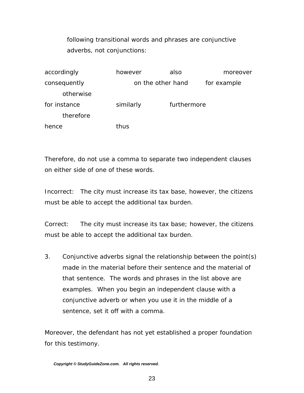following transitional words and phrases are conjunctive adverbs, not conjunctions:

| accordingly  | however   | also              | moreover |
|--------------|-----------|-------------------|----------|
| consequently |           | on the other hand |          |
| otherwise    |           |                   |          |
| for instance | similarly | furthermore       |          |
| therefore    |           |                   |          |
| hence        | thus      |                   |          |

Therefore, do not use a comma to separate two independent clauses on either side of one of these words.

Incorrect: The city must increase its tax base, however, the citizens must be able to accept the additional tax burden.

Correct: The city must increase its tax base; however, the citizens must be able to accept the additional tax burden.

3. Conjunctive adverbs signal the relationship between the point(s) made in the material before their sentence and the material of that sentence. The words and phrases in the list above are examples. When you begin an independent clause with a conjunctive adverb or when you use it in the middle of a sentence, set it off with a comma.

Moreover, the defendant has not yet established a proper foundation for this testimony.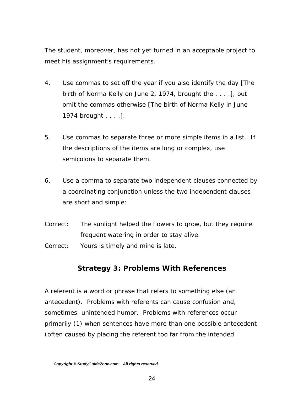<span id="page-23-0"></span>The student, moreover, has not yet turned in an acceptable project to meet his assignment's requirements.

- 4. Use commas to set off the year if you also identify the day [The birth of Norma Kelly on June 2, 1974, brought the . . . .], but omit the commas otherwise [The birth of Norma Kelly in June 1974 brought . . . .].
- 5. Use commas to separate three or more simple items in a list. If the descriptions of the items are long or complex, use semicolons to separate them.
- 6. Use a comma to separate two independent clauses connected by a coordinating conjunction unless the two independent clauses are short and simple:
- Correct: The sunlight helped the flowers to grow, but they require frequent watering in order to stay alive. Correct: Yours is timely and mine is late.

#### **Strategy 3: Problems With References**

A referent is a word or phrase that refers to something else (an antecedent). Problems with referents can cause confusion and, sometimes, unintended humor. Problems with references occur primarily (1) when sentences have more than one possible antecedent (often caused by placing the referent too far from the intended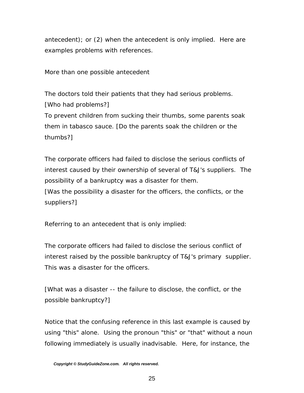antecedent); or (2) when the antecedent is only implied. Here are examples problems with references.

More than one possible antecedent

The doctors told their patients that they had serious problems. [Who had problems?] To prevent children from sucking their thumbs, some parents soak them in tabasco sauce. [Do the parents soak the children or the thumbs?]

The corporate officers had failed to disclose the serious conflicts of interest caused by their ownership of several of T&J's suppliers. The possibility of a bankruptcy was a disaster for them. [Was the possibility a disaster for the officers, the conflicts, or the suppliers?]

Referring to an antecedent that is only implied:

The corporate officers had failed to disclose the serious conflict of interest raised by the possible bankruptcy of T&J's primary supplier. This was a disaster for the officers.

[What was a disaster -- the failure to disclose, the conflict, or the possible bankruptcy?]

Notice that the confusing reference in this last example is caused by using "this" alone. Using the pronoun "this" or "that" without a noun following immediately is usually inadvisable. Here, for instance, the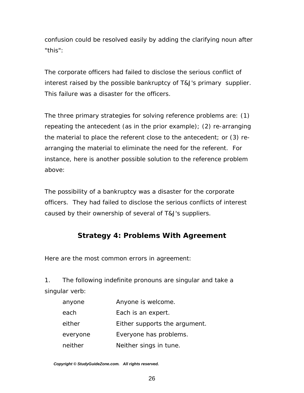<span id="page-25-0"></span>confusion could be resolved easily by adding the clarifying noun after "this":

The corporate officers had failed to disclose the serious conflict of interest raised by the possible bankruptcy of T&J's primary supplier. This failure was a disaster for the officers.

The three primary strategies for solving reference problems are: (1) repeating the antecedent (as in the prior example); (2) re-arranging the material to place the referent close to the antecedent; or (3) rearranging the material to eliminate the need for the referent. For instance, here is another possible solution to the reference problem above:

The possibility of a bankruptcy was a disaster for the corporate officers. They had failed to disclose the serious conflicts of interest caused by their ownership of several of T&J's suppliers.

# **Strategy 4: Problems With Agreement**

Here are the most common errors in agreement:

1. The following indefinite pronouns are singular and take a singular verb:

| anyone   | Anyone is welcome.            |
|----------|-------------------------------|
| each     | Each is an expert.            |
| either   | Either supports the argument. |
| everyone | Everyone has problems.        |
| neither  | Neither sings in tune.        |
|          |                               |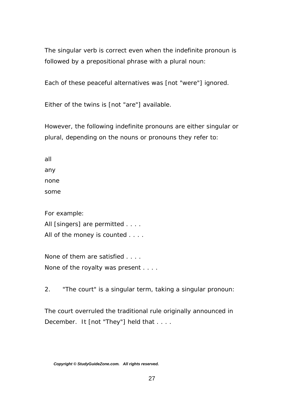The singular verb is correct even when the indefinite pronoun is followed by a prepositional phrase with a plural noun:

Each of these peaceful alternatives was [not "were"] ignored.

Either of the twins is [not "are"] available.

However, the following indefinite pronouns are either singular or plural, depending on the nouns or pronouns they refer to:

all any none some

For example:

All [singers] are permitted . . . .

All of the money is counted . . . .

None of them are satisfied . . . . None of the royalty was present . . . .

2. "The court" is a singular term, taking a singular pronoun:

The court overruled the traditional rule originally announced in December. It [not "They"] held that . . . .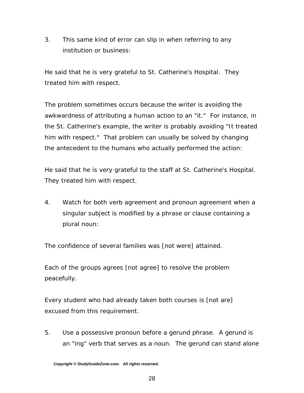3. This same kind of error can slip in when referring to any institution or business:

He said that he is very grateful to St. Catherine's Hospital. They treated him with respect.

The problem sometimes occurs because the writer is avoiding the awkwardness of attributing a human action to an "it." For instance, in the St. Catherine's example, the writer is probably avoiding "It treated him with respect." That problem can usually be solved by changing the antecedent to the humans who actually performed the action:

He said that he is very grateful to the staff at St. Catherine's Hospital. They treated him with respect.

4. Watch for both verb agreement and pronoun agreement when a singular subject is modified by a phrase or clause containing a plural noun:

The confidence of several families was [not were] attained.

Each of the groups agrees [not agree] to resolve the problem peacefully.

Every student who had already taken both courses is [not are] excused from this requirement.

5. Use a possessive pronoun before a gerund phrase. A gerund is an "ing" verb that serves as a noun. The gerund can stand alone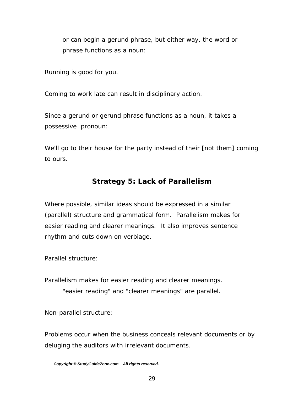<span id="page-28-0"></span>or can begin a gerund phrase, but either way, the word or phrase functions as a noun:

Running is good for you.

Coming to work late can result in disciplinary action.

Since a gerund or gerund phrase functions as a noun, it takes a possessive pronoun:

We'll go to their house for the party instead of their [not them] coming to ours.

# **Strategy 5: Lack of Parallelism**

Where possible, similar ideas should be expressed in a similar (parallel) structure and grammatical form. Parallelism makes for easier reading and clearer meanings. It also improves sentence rhythm and cuts down on verbiage.

Parallel structure:

Parallelism makes for easier reading and clearer meanings. "easier reading" and "clearer meanings" are parallel.

Non-parallel structure:

Problems occur when the business conceals relevant documents or by deluging the auditors with irrelevant documents.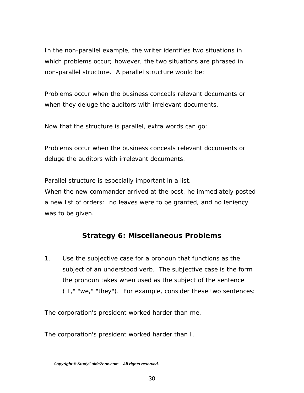<span id="page-29-0"></span>In the non-parallel example, the writer identifies two situations in which problems occur; however, the two situations are phrased in non-parallel structure. A parallel structure would be:

Problems occur when the business conceals relevant documents or when they deluge the auditors with irrelevant documents.

Now that the structure is parallel, extra words can go:

Problems occur when the business conceals relevant documents or deluge the auditors with irrelevant documents.

Parallel structure is especially important in a list.

When the new commander arrived at the post, he immediately posted a new list of orders: no leaves were to be granted, and no leniency was to be given.

# **Strategy 6: Miscellaneous Problems**

1. Use the subjective case for a pronoun that functions as the subject of an understood verb. The subjective case is the form the pronoun takes when used as the subject of the sentence ("I," "we," "they"). For example, consider these two sentences:

The corporation's president worked harder than me.

The corporation's president worked harder than I.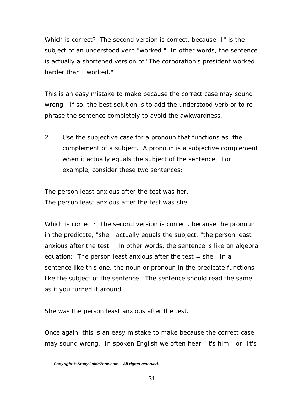Which is correct? The second version is correct, because "I" is the subject of an understood verb "worked." In other words, the sentence is actually a shortened version of "The corporation's president worked harder than I worked."

This is an easy mistake to make because the correct case may sound wrong. If so, the best solution is to add the understood verb or to rephrase the sentence completely to avoid the awkwardness.

2. Use the subjective case for a pronoun that functions as the complement of a subject. A pronoun is a subjective complement when it actually equals the subject of the sentence. For example, consider these two sentences:

The person least anxious after the test was her. The person least anxious after the test was she.

Which is correct? The second version is correct, because the pronoun in the predicate, "she," actually equals the subject, "the person least anxious after the test." In other words, the sentence is like an algebra equation: The person least anxious after the test  $=$  she. In a sentence like this one, the noun or pronoun in the predicate functions like the subject of the sentence. The sentence should read the same as if you turned it around:

She was the person least anxious after the test.

Once again, this is an easy mistake to make because the correct case may sound wrong. In spoken English we often hear "It's him," or "It's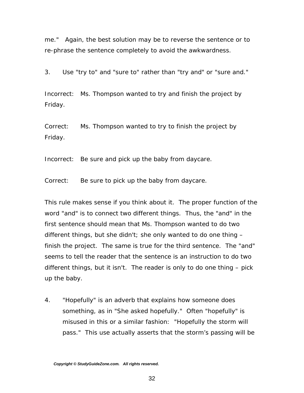me." Again, the best solution may be to reverse the sentence or to re-phrase the sentence completely to avoid the awkwardness.

3. Use "try to" and "sure to" rather than "try and" or "sure and."

Incorrect: Ms. Thompson wanted to try and finish the project by Friday.

Correct: Ms. Thompson wanted to try to finish the project by Friday.

Incorrect: Be sure and pick up the baby from daycare.

Correct: Be sure to pick up the baby from daycare.

This rule makes sense if you think about it. The proper function of the word "and" is to connect two different things. Thus, the "and" in the first sentence should mean that Ms. Thompson wanted to do two different things, but she didn't; she only wanted to do one thing – finish the project. The same is true for the third sentence. The "and" seems to tell the reader that the sentence is an instruction to do two different things, but it isn't. The reader is only to do one thing – pick up the baby.

4. "Hopefully" is an adverb that explains how someone does something, as in "She asked hopefully." Often "hopefully" is misused in this or a similar fashion: "Hopefully the storm will pass." This use actually asserts that the storm's passing will be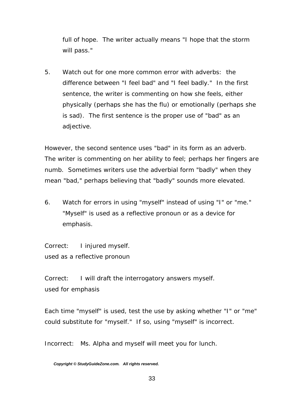full of hope. The writer actually means "I hope that the storm will pass."

5. Watch out for one more common error with adverbs: the difference between "I feel bad" and "I feel badly." In the first sentence, the writer is commenting on how she feels, either physically (perhaps she has the flu) or emotionally (perhaps she is sad). The first sentence is the proper use of "bad" as an adjective.

However, the second sentence uses "bad" in its form as an adverb. The writer is commenting on her ability to feel; perhaps her fingers are numb. Sometimes writers use the adverbial form "badly" when they mean "bad," perhaps believing that "badly" sounds more elevated.

6. Watch for errors in using "myself" instead of using "I" or "me." "Myself" is used as a reflective pronoun or as a device for emphasis.

Correct: I injured myself. used as a reflective pronoun

Correct: I will draft the interrogatory answers myself. used for emphasis

Each time "myself" is used, test the use by asking whether "I" or "me" could substitute for "myself." If so, using "myself" is incorrect.

Incorrect: Ms. Alpha and myself will meet you for lunch.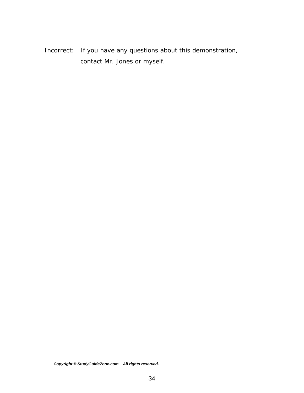Incorrect: If you have any questions about this demonstration, contact Mr. Jones or myself.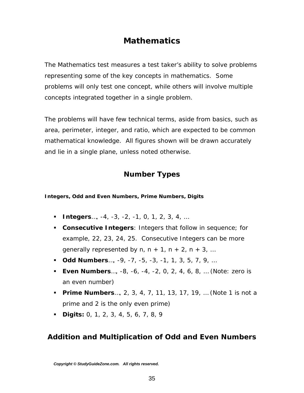# *Mathematics*

<span id="page-34-0"></span>The Mathematics test measures a test taker's ability to solve problems representing some of the key concepts in mathematics. Some problems will only test one concept, while others will involve multiple concepts integrated together in a single problem.

The problems will have few technical terms, aside from basics, such as area, perimeter, integer, and ratio, which are expected to be common mathematical knowledge. All figures shown will be drawn accurately and lie in a single plane, unless noted otherwise.

# **Number Types**

#### *Integers, Odd and Even Numbers, Prime Numbers, Digits*

- **Integers**…, -4, -3, -2, -1, 0, 1, 2, 3, 4, …
- **Consecutive Integers**: Integers that follow in sequence; for example, 22, 23, 24, 25. Consecutive Integers can be more generally represented by  $n, n + 1, n + 2, n + 3, ...$
- **Odd Numbers**…, -9, -7, -5, -3, -1, 1, 3, 5, 7, 9, …
- **Even Numbers**…, -8, -6, -4, -2, 0, 2, 4, 6, 8, … (Note: zero is an even number)
- **Prime Numbers**…, 2, 3, 4, 7, 11, 13, 17, 19, … (Note 1 is not a prime and 2 is the only even prime)
- **Digits:** 0, 1, 2, 3, 4, 5, 6, 7, 8, 9

# **Addition and Multiplication of Odd and Even Numbers**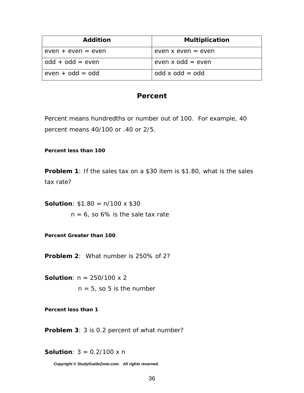<span id="page-35-0"></span>

| <b>Addition</b>      | <b>Multiplication</b>  |
|----------------------|------------------------|
| $even + even = even$ | even x even $=$ even   |
| $odd + odd = even$   | even $x$ odd = even    |
| $even + odd = odd$   | $odd \times odd = odd$ |

#### **Percent**

Percent means hundredths or number out of 100. For example, 40 percent means 40/100 or .40 or 2/5.

#### *Percent less than 100*

**Problem 1**: If the sales tax on a \$30 item is \$1.80, what is the sales tax rate?

**Solution**:  $$1.80 = n/100 \times $30$ 

 $n = 6$ , so 6% is the sale tax rate

*Percent Greater than 100* 

**Problem 2**: What number is 250% of 2?

**Solution**: n = 250/100 x 2  $n = 5$ , so 5 is the number

*Percent less than 1* 

**Problem 3**: 3 is 0.2 percent of what number?

**Solution**:  $3 = 0.2/100 \times n$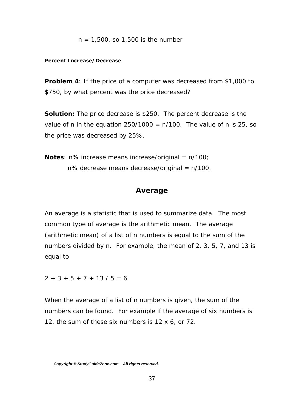<span id="page-36-0"></span>
$$
n = 1,500
$$
, so 1,500 is the number

#### *Percent Increase/Decrease*

**Problem 4**: If the price of a computer was decreased from \$1,000 to \$750, by what percent was the price decreased?

**Solution:** The price decrease is \$250. The percent decrease is the value of n in the equation  $250/1000 = n/100$ . The value of n is 25, so the price was decreased by 25%.

**Notes**: n% increase means increase/original = n/100;  $n\%$  decrease means decrease/original =  $n/100$ .

#### **Average**

An average is a statistic that is used to summarize data. The most common type of average is the *arithmetic mean.* The average (arithmetic mean) of a list of n numbers is equal to the sum of the numbers divided by n. For example, the mean of 2, 3, 5, 7, and 13 is equal to

 $2 + 3 + 5 + 7 + 13 / 5 = 6$ 

When the average of a list of n numbers is given, the sum of the numbers can be found. For example if the average of six numbers is 12, the sum of these six numbers is 12 x 6, or 72.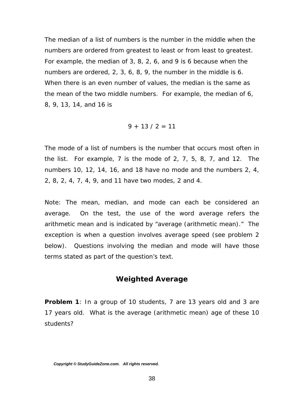<span id="page-37-0"></span>The *median* of a list of numbers is the number in the middle when the numbers are ordered from greatest to least or from least to greatest. For example, the median of 3, 8, 2, 6, and 9 is 6 because when the numbers are ordered, 2, 3, 6, 8, 9, the number in the middle is 6. When there is an even number of values, the median is the same as the mean of the two middle numbers. For example, the median of 6, 8, 9, 13, 14, and 16 is

$$
9 + 13 / 2 = 11
$$

The *mode* of a list of numbers is the number that occurs most often in the list. For example, 7 is the mode of 2, 7, 5, 8, 7, and 12. The numbers 10, 12, 14, 16, and 18 have no mode and the numbers 2, 4, 2, 8, 2, 4, 7, 4, 9, and 11 have two modes, 2 and 4.

Note: The mean, median, and mode can each be considered an average. On the test, the use of the word average refers the arithmetic mean and is indicated by "average (arithmetic mean)." The exception is when a question involves average speed (see problem 2 below). Questions involving the median and mode will have those terms stated as part of the question's text.

#### **Weighted Average**

**Problem 1**: In a group of 10 students, 7 are 13 years old and 3 are 17 years old. What is the average (arithmetic mean) age of these 10 students?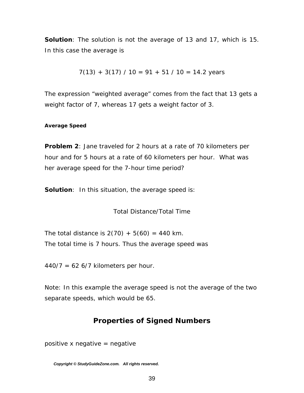<span id="page-38-0"></span>**Solution**: The solution is not the average of 13 and 17, which is 15. In this case the average is

$$
7(13) + 3(17) / 10 = 91 + 51 / 10 = 14.2
$$
 years

The expression "weighted average" comes from the fact that 13 gets a weight factor of 7, whereas 17 gets a weight factor of 3.

#### *Average Speed*

**Problem 2**: Jane traveled for 2 hours at a rate of 70 kilometers per hour and for 5 hours at a rate of 60 kilometers per hour. What was her average speed for the 7-hour time period?

**Solution**: In this situation, the average speed is:

Total Distance/Total Time

The total distance is  $2(70) + 5(60) = 440$  km. The total time is 7 hours. Thus the average speed was

 $440/7 = 626/7$  kilometers per hour.

Note: In this example the average speed is not the average of the two separate speeds, which would be 65.

#### **Properties of Signed Numbers**

positive x negative  $=$  negative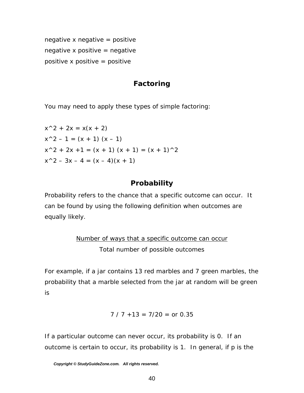<span id="page-39-0"></span>negative x negative = positive negative x positive  $=$  negative positive x positive  $=$  positive

# **Factoring**

You may need to apply these types of simple factoring:

 $x^2 + 2x = x(x + 2)$  $x^2 - 1 = (x + 1) (x - 1)$  $x^2 + 2x + 1 = (x + 1)(x + 1) = (x + 1)^2$  $x^2 - 3x - 4 = (x - 4)(x + 1)$ 

# **Probability**

Probability refers to the chance that a specific outcome can occur. It can be found by using the following definition when outcomes are equally likely.

# Number of ways that a specific outcome can occur Total number of possible outcomes

For example, if a jar contains 13 red marbles and 7 green marbles, the probability that a marble selected from the jar at random will be green is

$$
7 / 7 + 13 = 7/20 = or 0.35
$$

If a particular outcome can never occur, its probability is 0. If an outcome is certain to occur, its probability is 1. In general, if p is the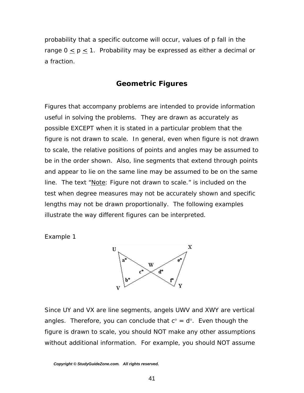<span id="page-40-0"></span>probability that a specific outcome will occur, values of p fall in the range  $0 \le p \le 1$ . Probability may be expressed as either a decimal or a fraction.

#### **Geometric Figures**

Figures that accompany problems are intended to provide information useful in solving the problems. They are drawn as accurately as possible EXCEPT when it is stated in a particular problem that the figure is not drawn to scale. In general, even when figure is not drawn to scale, the relative positions of points and angles may be assumed to be in the order shown. Also, line segments that extend through points and appear to lie on the same line may be assumed to be on the same line. The text "Note: Figure not drawn to scale." is included on the test when degree measures may not be accurately shown and specific lengths may not be drawn proportionally. The following examples illustrate the way different figures can be interpreted.

*Example 1* 



Since UY and VX are line segments, angels UWV and XWY are vertical angles. Therefore, you can conclude that  $c^{\circ} = d^{\circ}$ . Even though the figure is drawn to scale, you should NOT make any other assumptions without additional information. For example, you should NOT assume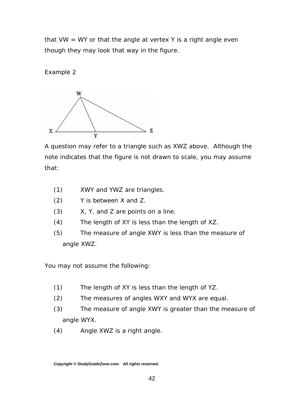that VW  $=$  WY or that the angle at vertex Y is a right angle even though they may look that way in the figure.

*Example 2* 



A question may refer to a triangle such as XWZ above. Although the note indicates that the figure is not drawn to scale, you may assume that:

- (1) XWY and YWZ are triangles.
- (2) Y is between X and Z.
- (3) X, Y, and Z are points on a line.
- (4) The length of XY is less than the length of XZ.
- (5) The measure of angle XWY is less than the measure of angle XWZ.

You may *not* assume the following:

- (1) The length of XY is less than the length of YZ.
- (2) The measures of angles WXY and WYX are equal.
- (3) The measure of angle XWY is greater than the measure of angle WYX.
- (4) Angle XWZ is a right angle.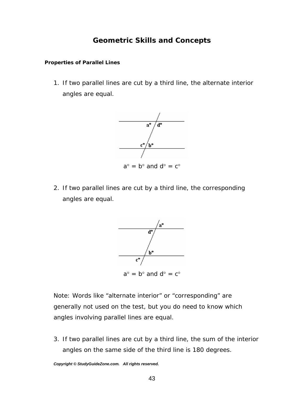#### **Geometric Skills and Concepts**

#### <span id="page-42-0"></span>*Properties of Parallel Lines*

1. If two parallel lines are cut by a third line, the alternate interior angles are equal.



2. If two parallel lines are cut by a third line, the corresponding angles are equal.



Note: Words like "alternate interior" or "corresponding" are generally not used on the test, but you do need to know which angles involving parallel lines are equal.

3. If two parallel lines are cut by a third line, the sum of the interior angles on the same side of the third line is 180 degrees.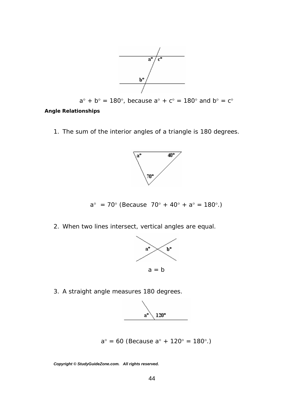

$$
a^{\circ} + b^{\circ} = 180^{\circ}
$$
, because  $a^{\circ} + c^{\circ} = 180^{\circ}$  and  $b^{\circ} = c^{\circ}$ 

#### <span id="page-43-0"></span>*Angle Relationships*

1. The sum of the interior angles of a triangle is 180 degrees.



 $a^{\circ}$  = 70° (Because 70° + 40° +  $a^{\circ}$  = 180°.)

2. When two lines intersect, vertical angles are equal.



3. A straight angle measures 180 degrees.



$$
a^{\circ} = 60
$$
 (Because  $a^{\circ} + 120^{\circ} = 180^{\circ}$ .)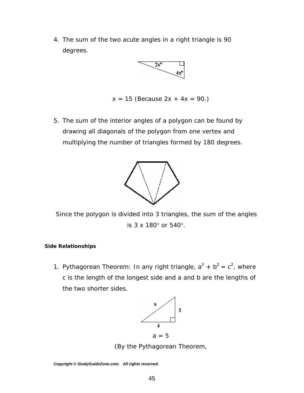<span id="page-44-0"></span>4. The sum of the two acute angles in a right triangle is 90 degrees.



```
x = 15 (Because 2x + 4x = 90.)
```
5. The sum of the interior angles of a polygon can be found by drawing all diagonals of the polygon from one vertex and multiplying the number of triangles formed by 180 degrees.



Since the polygon is divided into 3 triangles, the sum of the angles is 3 x 180° or 540°.

#### *Side Relationships*

1. Pythagorean Theorem: In any right triangle,  $a^2 + b^2 = c^2$ , where c is the length of the longest side and a and b are the lengths of the two shorter sides.



(By the Pythagorean Theorem,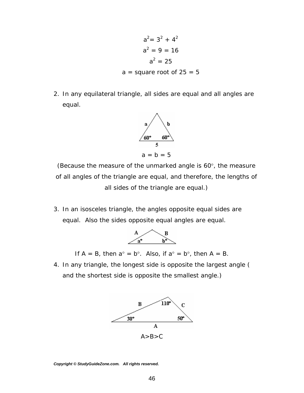$$
a2 = 32 + 42
$$
  

$$
a2 = 9 = 16
$$
  

$$
a2 = 25
$$
  
a = square root of 25 = 5

2. In any equilateral triangle, all sides are equal and all angles are equal.



(Because the measure of the unmarked angle is 60°, the measure of all angles of the triangle are equal, and therefore, the lengths of all sides of the triangle are equal.)

3. In an isosceles triangle, the angles opposite equal sides are equal. Also the sides opposite equal angles are equal.



If  $A = B$ , then  $a^{\circ} = b^{\circ}$ . Also, if  $a^{\circ} = b^{\circ}$ , then  $A = B$ .

4. In any triangle, the longest side is opposite the largest angle ( and the shortest side is opposite the smallest angle.)

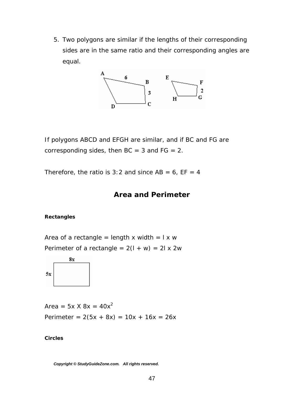<span id="page-46-0"></span>5. Two polygons are *similar* if the lengths of their corresponding sides are in the same ratio and their corresponding angles are equal.



If polygons ABCD and EFGH are similar, and if BC and FG are corresponding sides, then  $BC = 3$  and  $FG = 2$ .

Therefore, the ratio is 3:2 and since  $AB = 6$ ,  $EF = 4$ 

#### **Area and Perimeter**

#### *Rectangles*

Area of a rectangle = length x width =  $1 \times w$ Perimeter of a rectangle =  $2(l + w) = 2l \times 2w$ 



Area =  $5x$  X  $8x = 40x^2$ Perimeter =  $2(5x + 8x) = 10x + 16x = 26x$ 

*Circles*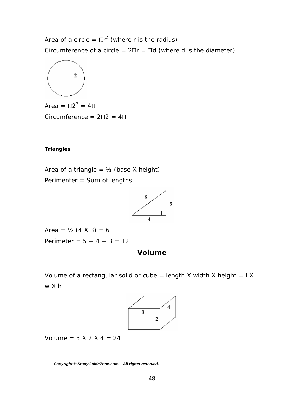<span id="page-47-0"></span>Area of a circle =  $\Pi r^2$  (where r is the radius) Circumference of a circle =  $2\Pi r = \Pi d$  (where d is the diameter)



Area =  $\Pi 2^2 = 4\Pi$ Circumference = 2Π2 = 4Π

#### *Triangles*

Area of a triangle =  $\frac{1}{2}$  (base X height) Perimenter = Sum of lengths



Area =  $\frac{1}{2}$  (4 X 3) = 6 Perimeter =  $5 + 4 + 3 = 12$ 

#### **Volume**

Volume of a rectangular solid or cube = length X width X height =  $IX$ w X h



Volume =  $3 X 2 X 4 = 24$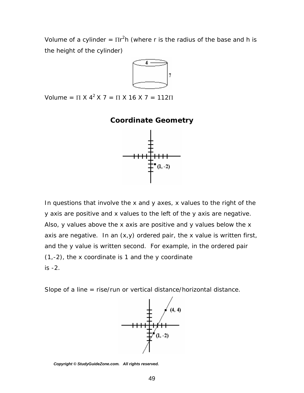<span id="page-48-0"></span>Volume of a cylinder =  $\text{Tr}^2 h$  (where r is the radius of the base and h is the height of the cylinder)



Volume =  $\Pi$  X 4<sup>2</sup> X 7 =  $\Pi$  X 16 X 7 = 112 $\Pi$ 

#### **Coordinate Geometry**



In questions that involve the x and y axes, x values to the right of the y axis are positive and x values to the left of the y axis are negative. Also, y values above the x axis are positive and y values below the x axis are negative. In an  $(x, y)$  ordered pair, the x value is written first, and the y value is written second. For example, in the ordered pair (1,-2), the x coordinate is 1 and the y coordinate is -2.

Slope of a line = rise/run or vertical distance/horizontal distance.



*Copyright © StudyGuideZone.com. All rights reserved.*